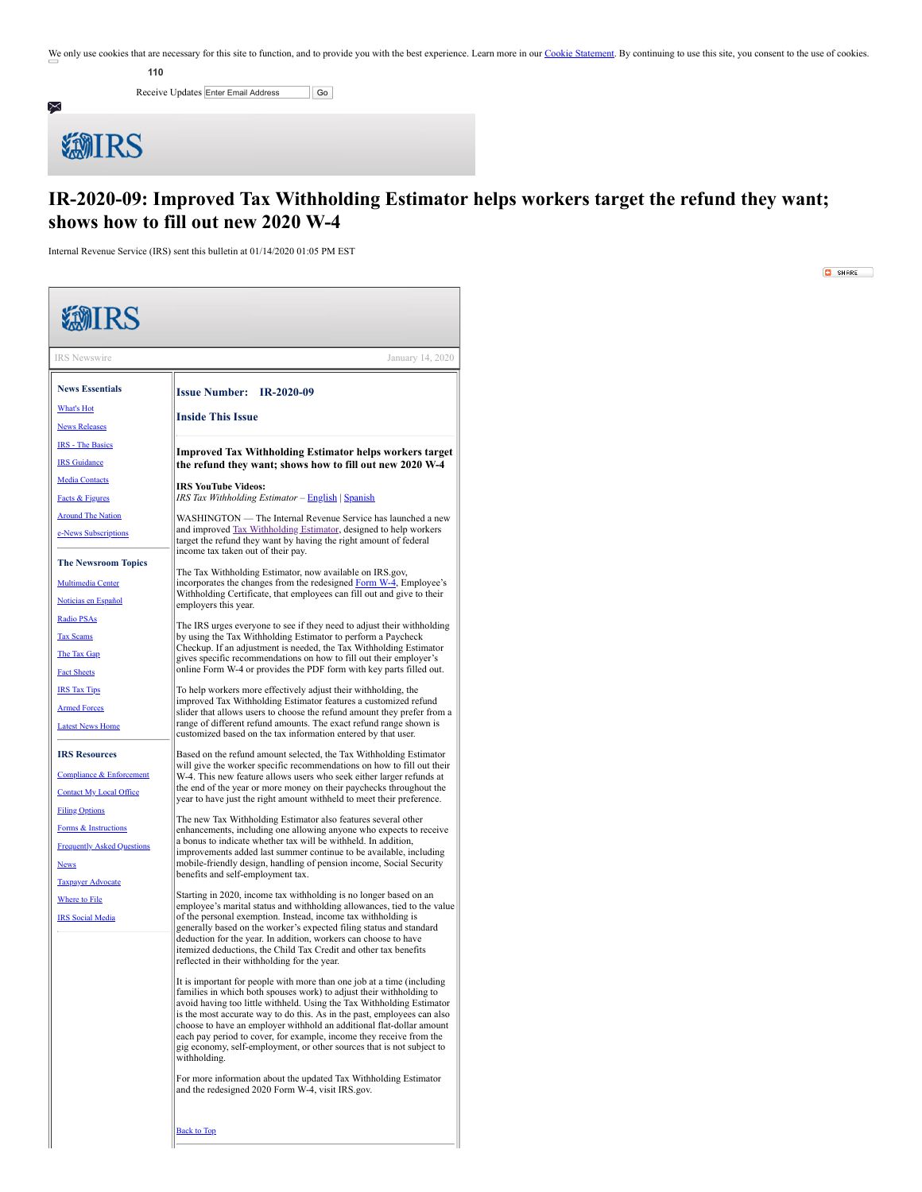We only use cookies that are necessary for this site to function, and to provide you with the best experience. Learn more in our [Cookie Statement.](https://subscriberhelp.granicus.com/s/article/Cookies) By continuing to use this site, you consent to the use of cookies.

**110**

Receive Updates Enter Email Address Go



## **EMIRS**

## **IR-2020-09: Improved Tax Withholding Estimator helps workers target the refund they want; shows how to fill out new 2020 W-4**

Internal Revenue Service (IRS) sent this bulletin at 01/14/2020 01:05 PM EST

<span id="page-0-0"></span>**EMIRS** IRS Newswire January 14, 2020 **News Essentials Issue Number: IR-2020-09** [What's](https://www.irs.gov/newsroom/whats-hot) Hot **Inside This Issue** News [Releases](https://www.irs.gov/newsroom/news-releases-for-current-month) IRS - The [Basics](https://www.irs.gov/about-irs/irs-the-basics) **Improved Tax Withholding Estimator helps workers target** IRS [Guidance](https://www.irs.gov/newsroom/understanding-irs-guidance-a-brief-primer) **the refund they want; shows how to fill out new 2020 W-4** Media [Contacts](https://www.irs.gov/newsroom/irs-media-relations-office-contact-number) **IRS YouTube Videos:** Facts & [Figures](https://www.irs.gov/newsroom/fact-sheets) *IRS Tax Withholding Estimator* – [English](https://youtu.be/BBuAzW43K1A) | [Spanish](https://youtu.be/JV41ApGCZ44) [Around](https://www.irs.gov/newsroom/around-the-nation) The Nation WASHINGTON — The Internal Revenue Service has launched a new and improved [Tax Withholding Estimator,](https://www.irs.gov/individuals/tax-withholding-estimator) designed to help workers e-News [Subscriptions](https://www.irs.gov/newsroom/e-news-subscriptions) target the refund they want by having the right amount of federal income tax taken out of their pay. **The Newsroom Topics** The Tax Withholding Estimator, now available on IRS.gov, incorporates the changes from the redesigned [Form W-4](https://www.irs.gov/forms-pubs/about-form-w-4), Employee's [Multimedia](https://www.irs.gov/newsroom/multimedia-center) Center Withholding Certificate, that employees can fill out and give to their [Noticias](https://www.irs.gov/es/spanish/noticias-en-espanol) en Español employers this year. [Radio](https://www.irs.gov/newsroom/irs-radio-psas) PSAs The IRS urges everyone to see if they need to adjust their withholding Tax [Scams](https://www.irs.gov/newsroom/tax-scams-consumer-alerts) by using the Tax Withholding Estimator to perform a Paycheck Checkup. If an adjustment is needed, the Tax Withholding Estimator The Tax [Gap](https://www.irs.gov/newsroom/the-tax-gap) gives specific recommendations on how to fill out their employer's online Form W-4 or provides the PDF form with key parts filled out. Fact [Sheets](https://www.irs.gov/newsroom/fact-sheets) IRS Tax [Tips](https://www.irs.gov/newsroom/irs-tax-tips) To help workers more effectively adjust their withholding, the improved Tax Withholding Estimator features a customized refund [Armed](https://www.irs.gov/newsroom/tax-information-for-members-of-the-us-armed-forces) Forces slider that allows users to choose the refund amount they prefer from a range of different refund amounts. The exact refund range shown is Latest News Ho customized based on the tax information entered by that user. **IRS Resources** Based on the refund amount selected, the Tax Withholding Estimator will give the worker specific recommendations on how to fill out their Compliance & [Enforcement](https://www.irs.gov/newsroom/compliance-enforcement-news) W-4<sup> $\bar{ }$ </sup>This new feature allows users who seek either larger refunds at the end of the year or more money on their paychecks throughout the [Contact](https://www.irs.gov/help/contact-your-local-irs-office) My Local Office year to have just the right amount withheld to meet their preference. **Filing Optio** The new Tax Withholding Estimator also features several other Forms & Instru enhancements, including one allowing anyone who expects to receive a bonus to indicate whether tax will be withheld. In addition, **[Frequently](https://www.irs.gov/help/telephone-assistance) Asked Question** improvements added last summer continue to be available, including mobile-friendly design, handling of pension income, Social Security [News](https://www.irs.gov/newsroom) benefits and self-employment tax. Taxpayer [Advocate](https://www.irs.gov/taxpayer-advocate) Starting in 2020, income tax withholding is no longer based on an [Where](https://www.irs.gov/filing/where-to-file-paper-tax-returns-with-or-without-a-payment) to File employee's marital status and withholding allowances, tied to the value IRS Social [Media](https://www.irs.gov/newsroom/irs-new-media-1) of the personal exemption. Instead, income tax withholding is generally based on the worker's expected filing status and standard deduction for the year. In addition, workers can choose to have itemized deductions, the Child Tax Credit and other tax benefits reflected in their withholding for the year. It is important for people with more than one job at a time (including families in which both spouses work) to adjust their withholding to avoid having too little withheld. Using the Tax Withholding Estimator is the most accurate way to do this. As in the past, employees can also choose to have an employer withhold an additional flat-dollar amount each pay period to cover, for example, income they receive from the gig economy, self-employment, or other sources that is not subject to withholding. For more information about the updated Tax Withholding Estimator and the redesigned 2020 Form W-4, visit IRS.gov.

[Back](#page-0-0) to Top

 $\blacksquare$  SHARE